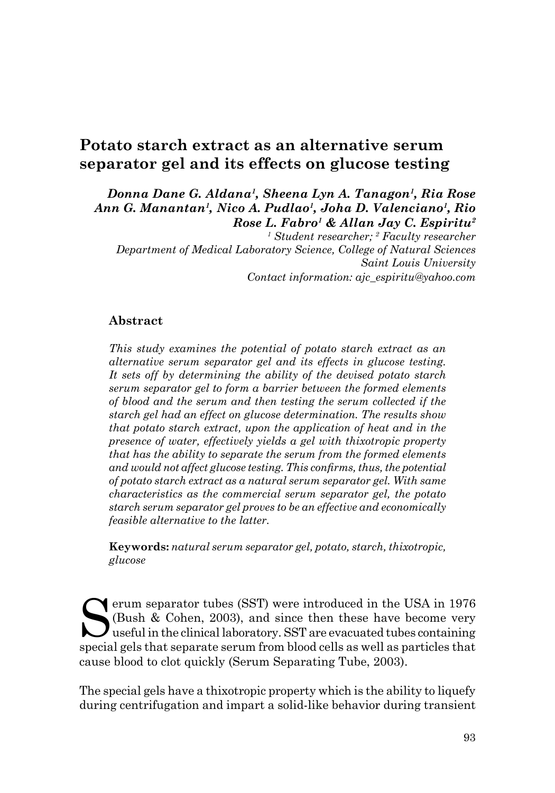# **Potato starch extract as an alternative serum separator gel and its effects on glucose testing**

#### *Donna Dane G. Aldana1, Sheena Lyn A. Tanagon1, Ria Rose Ann G. Manantan1, Nico A. Pudlao1, Joha D. Valenciano1, Rio Rose L. Fabro1 & Allan Jay C. Espiritu2*

*1 Student researcher; 2 Faculty researcher Department of Medical Laboratory Science, College of Natural Sciences Saint Louis University Contact information: ajc\_espiritu@yahoo.com*

#### **Abstract**

*This study examines the potential of potato starch extract as an alternative serum separator gel and its effects in glucose testing. It sets off by determining the ability of the devised potato starch serum separator gel to form a barrier between the formed elements of blood and the serum and then testing the serum collected if the starch gel had an effect on glucose determination. The results show that potato starch extract, upon the application of heat and in the presence of water, effectively yields a gel with thixotropic property that has the ability to separate the serum from the formed elements and would not affect glucose testing. This confirms, thus, the potential of potato starch extract as a natural serum separator gel. With same characteristics as the commercial serum separator gel, the potato starch serum separator gel proves to be an effective and economically feasible alternative to the latter.* 

**Keywords:** *natural serum separator gel, potato, starch, thixotropic, glucose* 

Serum separator tubes (SST) were introduced in the USA in 1976<br>(Bush & Cohen, 2003), and since then these have become very<br>useful in the clinical laboratory. SST are evacuated tubes containing<br>special cals that separate se (Bush & Cohen, 2003), and since then these have become very  $\boldsymbol{J}$  useful in the clinical laboratory. SST are evacuated tubes containing special gels that separate serum from blood cells as well as particles that cause blood to clot quickly (Serum Separating Tube, 2003).

The special gels have a thixotropic property which is the ability to liquefy during centrifugation and impart a solid-like behavior during transient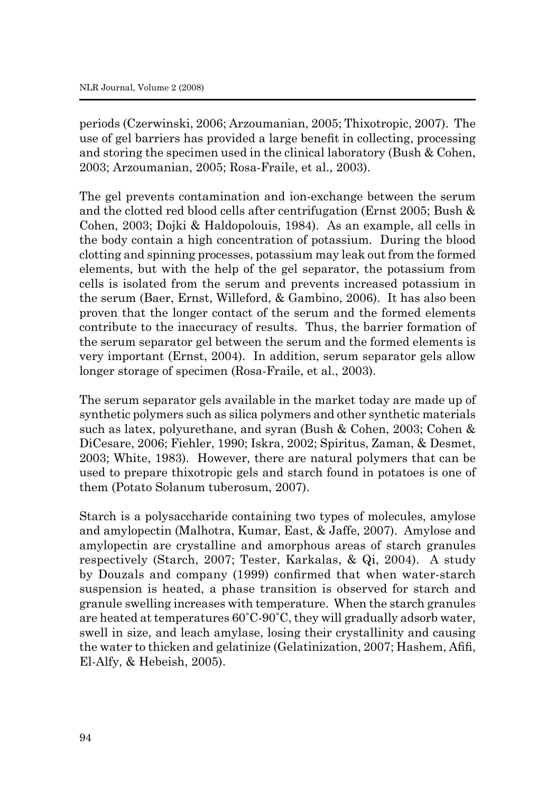periods (Czerwinski, 2006; Arzoumanian, 2005; Thixotropic, 2007). The use of gel barriers has provided a large benefit in collecting, processing and storing the specimen used in the clinical laboratory (Bush & Cohen, 2003; Arzoumanian, 2005; Rosa-Fraile, et al., 2003).

The gel prevents contamination and ion-exchange between the serum and the clotted red blood cells after centrifugation (Ernst 2005; Bush & Cohen, 2003; Dojki & Haldopolouis, 1984). As an example, all cells in the body contain a high concentration of potassium. During the blood clotting and spinning processes, potassium may leak out from the formed elements, but with the help of the gel separator, the potassium from cells is isolated from the serum and prevents increased potassium in the serum (Baer, Ernst, Willeford, & Gambino, 2006). It has also been proven that the longer contact of the serum and the formed elements contribute to the inaccuracy of results. Thus, the barrier formation of the serum separator gel between the serum and the formed elements is very important (Ernst, 2004). In addition, serum separator gels allow longer storage of specimen (Rosa-Fraile, et al., 2003).

The serum separator gels available in the market today are made up of synthetic polymers such as silica polymers and other synthetic materials such as latex, polyurethane, and syran (Bush & Cohen, 2003; Cohen & DiCesare, 2006; Fiehler, 1990; Iskra, 2002; Spiritus, Zaman, & Desmet, 2003; White, 1983). However, there are natural polymers that can be used to prepare thixotropic gels and starch found in potatoes is one of them (Potato Solanum tuberosum, 2007).

Starch is a polysaccharide containing two types of molecules, amylose and amylopectin (Malhotra, Kumar, East, & Jaffe, 2007). Amylose and amylopectin are crystalline and amorphous areas of starch granules respectively (Starch, 2007; Tester, Karkalas, & Qi, 2004). A study by Douzals and company (1999) confirmed that when water-starch suspension is heated, a phase transition is observed for starch and granule swelling increases with temperature. When the starch granules are heated at temperatures 60˚C-90˚C, they will gradually adsorb water, swell in size, and leach amylase, losing their crystallinity and causing the water to thicken and gelatinize (Gelatinization, 2007; Hashem, Afifi, El-Alfy, & Hebeish, 2005).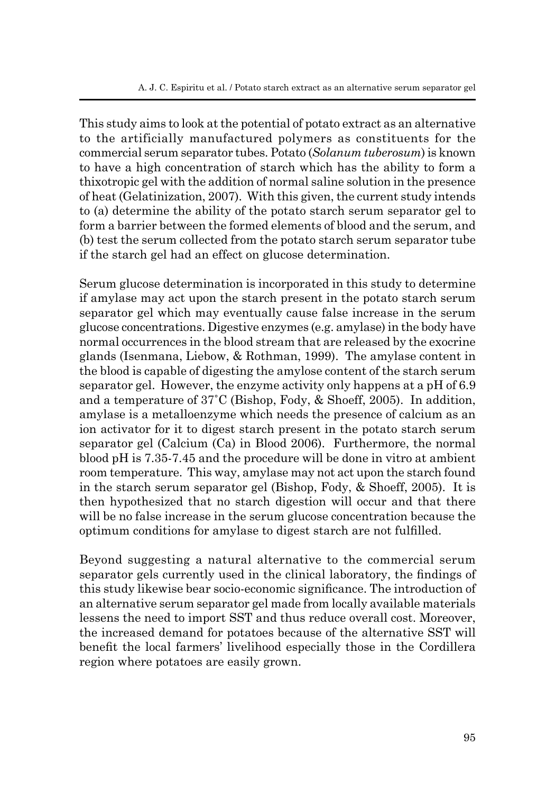A. J. C. Espiritu et al. / Potato starch extract as an alternative serum separator gel

This study aims to look at the potential of potato extract as an alternative to the artificially manufactured polymers as constituents for the commercial serum separator tubes. Potato (*Solanum tuberosum*) is known to have a high concentration of starch which has the ability to form a thixotropic gel with the addition of normal saline solution in the presence of heat (Gelatinization, 2007). With this given, the current study intends to (a) determine the ability of the potato starch serum separator gel to form a barrier between the formed elements of blood and the serum, and (b) test the serum collected from the potato starch serum separator tube if the starch gel had an effect on glucose determination.

Serum glucose determination is incorporated in this study to determine if amylase may act upon the starch present in the potato starch serum separator gel which may eventually cause false increase in the serum glucose concentrations. Digestive enzymes (e.g. amylase) in the body have normal occurrences in the blood stream that are released by the exocrine glands (Isenmana, Liebow, & Rothman, 1999). The amylase content in the blood is capable of digesting the amylose content of the starch serum separator gel. However, the enzyme activity only happens at a pH of 6.9 and a temperature of 37˚C (Bishop, Fody, & Shoeff, 2005). In addition, amylase is a metalloenzyme which needs the presence of calcium as an ion activator for it to digest starch present in the potato starch serum separator gel (Calcium (Ca) in Blood 2006). Furthermore, the normal blood pH is 7.35-7.45 and the procedure will be done in vitro at ambient room temperature. This way, amylase may not act upon the starch found in the starch serum separator gel (Bishop, Fody, & Shoeff, 2005). It is then hypothesized that no starch digestion will occur and that there will be no false increase in the serum glucose concentration because the optimum conditions for amylase to digest starch are not fulfilled.

Beyond suggesting a natural alternative to the commercial serum separator gels currently used in the clinical laboratory, the findings of this study likewise bear socio-economic significance. The introduction of an alternative serum separator gel made from locally available materials lessens the need to import SST and thus reduce overall cost. Moreover, the increased demand for potatoes because of the alternative SST will benefit the local farmers' livelihood especially those in the Cordillera region where potatoes are easily grown.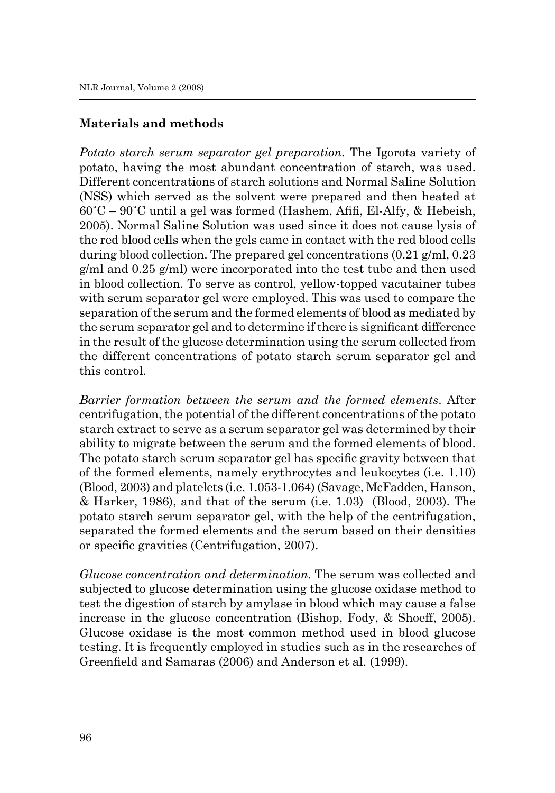## **Materials and methods**

*Potato starch serum separator gel preparation.* The Igorota variety of potato, having the most abundant concentration of starch, was used. Different concentrations of starch solutions and Normal Saline Solution (NSS) which served as the solvent were prepared and then heated at  $60^{\circ}$ C –  $90^{\circ}$ C until a gel was formed (Hashem, Afifi, El-Alfy, & Hebeish, 2005). Normal Saline Solution was used since it does not cause lysis of the red blood cells when the gels came in contact with the red blood cells during blood collection. The prepared gel concentrations (0.21 g/ml, 0.23 g/ml and 0.25 g/ml) were incorporated into the test tube and then used in blood collection. To serve as control, yellow-topped vacutainer tubes with serum separator gel were employed. This was used to compare the separation of the serum and the formed elements of blood as mediated by the serum separator gel and to determine if there is significant difference in the result of the glucose determination using the serum collected from the different concentrations of potato starch serum separator gel and this control.

*Barrier formation between the serum and the formed elements*. After centrifugation, the potential of the different concentrations of the potato starch extract to serve as a serum separator gel was determined by their ability to migrate between the serum and the formed elements of blood. The potato starch serum separator gel has specific gravity between that of the formed elements, namely erythrocytes and leukocytes (i.e. 1.10) (Blood, 2003) and platelets (i.e. 1.053-1.064) (Savage, McFadden, Hanson, & Harker, 1986), and that of the serum (i.e. 1.03) (Blood, 2003). The potato starch serum separator gel, with the help of the centrifugation, separated the formed elements and the serum based on their densities or specific gravities (Centrifugation, 2007).

*Glucose concentration and determination.* The serum was collected and subjected to glucose determination using the glucose oxidase method to test the digestion of starch by amylase in blood which may cause a false increase in the glucose concentration (Bishop, Fody, & Shoeff, 2005). Glucose oxidase is the most common method used in blood glucose testing. It is frequently employed in studies such as in the researches of Greenfield and Samaras (2006) and Anderson et al. (1999).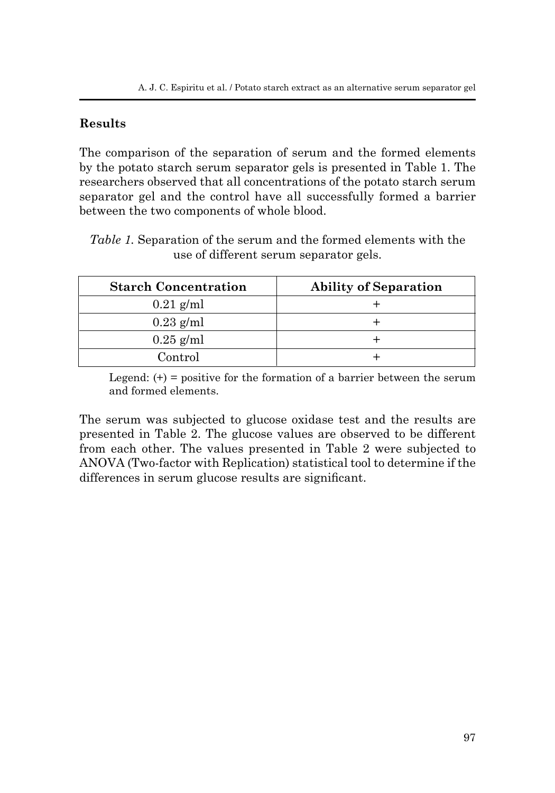# **Results**

The comparison of the separation of serum and the formed elements by the potato starch serum separator gels is presented in Table 1. The researchers observed that all concentrations of the potato starch serum separator gel and the control have all successfully formed a barrier between the two components of whole blood.

|  | <i>Table 1.</i> Separation of the serum and the formed elements with the |  |  |
|--|--------------------------------------------------------------------------|--|--|
|  | use of different serum separator gels.                                   |  |  |

| <b>Starch Concentration</b> | <b>Ability of Separation</b> |
|-----------------------------|------------------------------|
| $0.21$ g/ml                 |                              |
| $0.23$ g/ml                 |                              |
| $0.25$ g/ml                 |                              |
| ${\rm Control}$             |                              |

Legend:  $(+)$  = positive for the formation of a barrier between the serum and formed elements.

The serum was subjected to glucose oxidase test and the results are presented in Table 2. The glucose values are observed to be different from each other. The values presented in Table 2 were subjected to ANOVA (Two-factor with Replication) statistical tool to determine if the differences in serum glucose results are significant.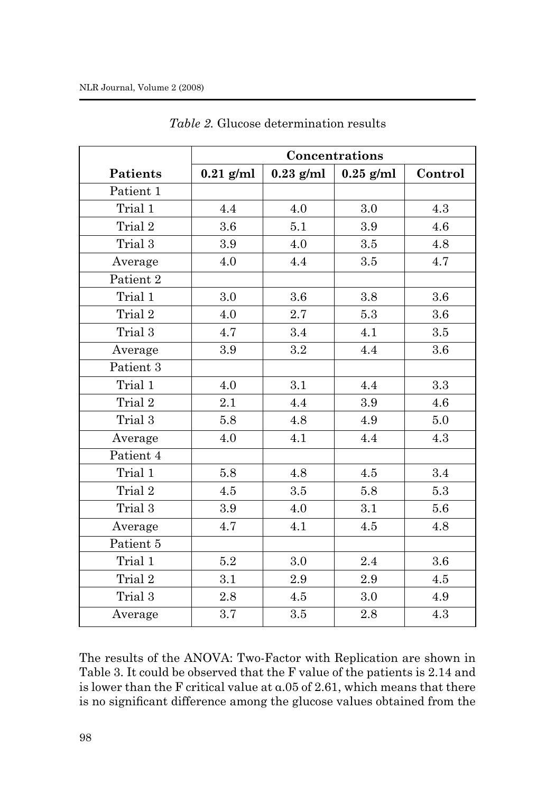|           | Concentrations |             |             |         |  |
|-----------|----------------|-------------|-------------|---------|--|
| Patients  | $0.21$ g/ml    | $0.23$ g/ml | $0.25$ g/ml | Control |  |
| Patient 1 |                |             |             |         |  |
| Trial 1   | 4.4            | 4.0         | 3.0         | 4.3     |  |
| Trial 2   | 3.6            | 5.1         | 3.9         | 4.6     |  |
| Trial 3   | 3.9            | 4.0         | 3.5         | 4.8     |  |
| Average   | 4.0            | 4.4         | 3.5         | 4.7     |  |
| Patient 2 |                |             |             |         |  |
| Trial 1   | 3.0            | 3.6         | 3.8         | $3.6\,$ |  |
| Trial 2   | 4.0            | 2.7         | 5.3         | 3.6     |  |
| Trial 3   | 4.7            | 3.4         | 4.1         | 3.5     |  |
| Average   | 3.9            | $\!.2$      | 4.4         | 3.6     |  |
| Patient 3 |                |             |             |         |  |
| Trial 1   | 4.0            | 3.1         | 4.4         | 3.3     |  |
| Trial 2   | 2.1            | 4.4         | 3.9         | 4.6     |  |
| Trial 3   | 5.8            | 4.8         | 4.9         | 5.0     |  |
| Average   | 4.0            | 4.1         | 4.4         | 4.3     |  |
| Patient 4 |                |             |             |         |  |
| Trial 1   | 5.8            | 4.8         | 4.5         | 3.4     |  |
| Trial 2   | 4.5            | 3.5         | 5.8         | 5.3     |  |
| Trial 3   | 3.9            | 4.0         | 3.1         | 5.6     |  |
| Average   | 4.7            | 4.1         | 4.5         | 4.8     |  |
| Patient 5 |                |             |             |         |  |
| Trial 1   | $5.2\,$        | 3.0         | 2.4         | 3.6     |  |
| Trial 2   | 3.1            | 2.9         | 2.9         | 4.5     |  |
| Trial 3   | 2.8            | 4.5         | 3.0         | 4.9     |  |
| Average   | 3.7            | 3.5         | 2.8         | 4.3     |  |

*Table 2.* Glucose determination results

The results of the ANOVA: Two-Factor with Replication are shown in Table 3. It could be observed that the F value of the patients is 2.14 and is lower than the F critical value at α.05 of 2.61, which means that there is no significant difference among the glucose values obtained from the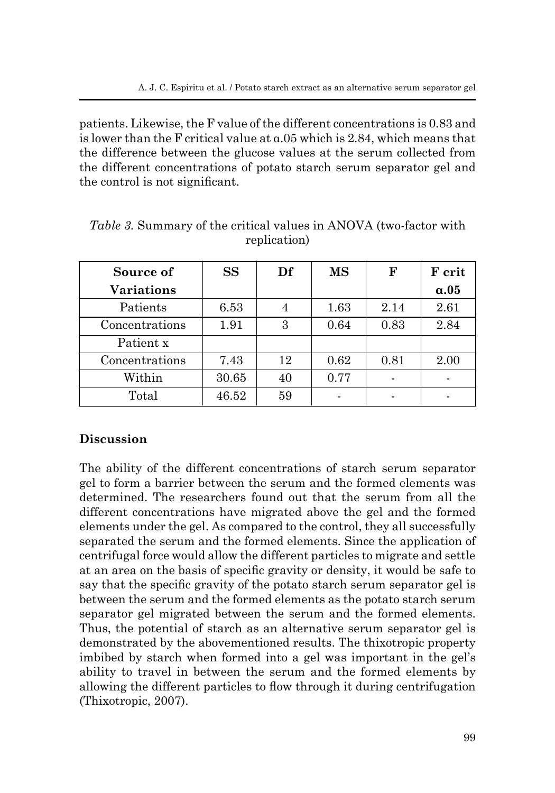patients. Likewise, the F value of the different concentrations is 0.83 and is lower than the F critical value at  $a.05$  which is 2.84, which means that the difference between the glucose values at the serum collected from the different concentrations of potato starch serum separator gel and the control is not significant.

| Source of         | <b>SS</b> | Df | <b>MS</b> | $\mathbf{F}$ | F crit      |
|-------------------|-----------|----|-----------|--------------|-------------|
| <b>Variations</b> |           |    |           |              | $\alpha.05$ |
| Patients          | 6.53      | 4  | 1.63      | 2.14         | 2.61        |
| Concentrations    | 1.91      | 3  | 0.64      | 0.83         | 2.84        |
| Patient x         |           |    |           |              |             |
| Concentrations    | 7.43      | 12 | 0.62      | 0.81         | 2.00        |
| Within            | 30.65     | 40 | 0.77      |              |             |
| Total             | 46.52     | 59 |           | -            |             |

*Table 3.* Summary of the critical values in ANOVA (two-factor with replication)

## **Discussion**

The ability of the different concentrations of starch serum separator gel to form a barrier between the serum and the formed elements was determined. The researchers found out that the serum from all the different concentrations have migrated above the gel and the formed elements under the gel. As compared to the control, they all successfully separated the serum and the formed elements. Since the application of centrifugal force would allow the different particles to migrate and settle at an area on the basis of specific gravity or density, it would be safe to say that the specific gravity of the potato starch serum separator gel is between the serum and the formed elements as the potato starch serum separator gel migrated between the serum and the formed elements. Thus, the potential of starch as an alternative serum separator gel is demonstrated by the abovementioned results. The thixotropic property imbibed by starch when formed into a gel was important in the gel's ability to travel in between the serum and the formed elements by allowing the different particles to flow through it during centrifugation (Thixotropic, 2007).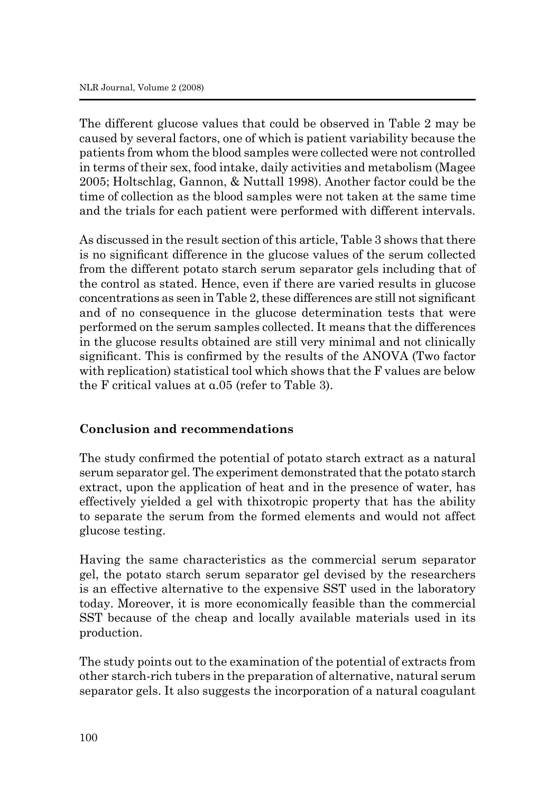The different glucose values that could be observed in Table 2 may be caused by several factors, one of which is patient variability because the patients from whom the blood samples were collected were not controlled in terms of their sex, food intake, daily activities and metabolism (Magee 2005; Holtschlag, Gannon, & Nuttall 1998). Another factor could be the time of collection as the blood samples were not taken at the same time and the trials for each patient were performed with different intervals.

As discussed in the result section of this article, Table 3 shows that there is no significant difference in the glucose values of the serum collected from the different potato starch serum separator gels including that of the control as stated. Hence, even if there are varied results in glucose concentrations as seen in Table 2, these differences are still not significant and of no consequence in the glucose determination tests that were performed on the serum samples collected. It means that the differences in the glucose results obtained are still very minimal and not clinically significant. This is confirmed by the results of the ANOVA (Two factor with replication) statistical tool which shows that the F values are below the F critical values at α.05 (refer to Table 3).

## **Conclusion and recommendations**

The study confirmed the potential of potato starch extract as a natural serum separator gel. The experiment demonstrated that the potato starch extract, upon the application of heat and in the presence of water, has effectively yielded a gel with thixotropic property that has the ability to separate the serum from the formed elements and would not affect glucose testing.

Having the same characteristics as the commercial serum separator gel, the potato starch serum separator gel devised by the researchers is an effective alternative to the expensive SST used in the laboratory today. Moreover, it is more economically feasible than the commercial SST because of the cheap and locally available materials used in its production.

The study points out to the examination of the potential of extracts from other starch-rich tubers in the preparation of alternative, natural serum separator gels. It also suggests the incorporation of a natural coagulant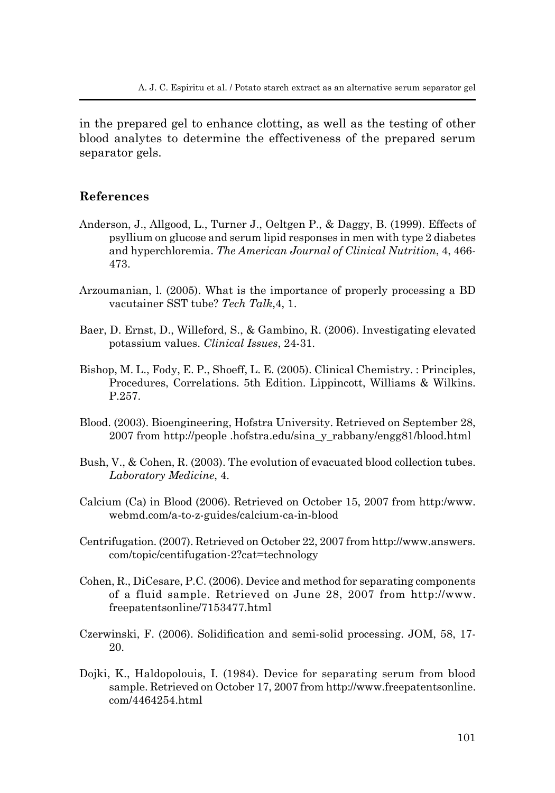in the prepared gel to enhance clotting, as well as the testing of other blood analytes to determine the effectiveness of the prepared serum separator gels.

#### **References**

- Anderson, J., Allgood, L., Turner J., Oeltgen P., & Daggy, B. (1999). Effects of psyllium on glucose and serum lipid responses in men with type 2 diabetes and hyperchloremia. *The American Journal of Clinical Nutrition*, 4, 466- 473.
- Arzoumanian, l. (2005). What is the importance of properly processing a BD vacutainer SST tube? *Tech Talk*,4, 1.
- Baer, D. Ernst, D., Willeford, S., & Gambino, R. (2006). Investigating elevated potassium values. *Clinical Issues*, 24-31.
- Bishop, M. L., Fody, E. P., Shoeff, L. E. (2005). Clinical Chemistry. : Principles, Procedures, Correlations. 5th Edition. Lippincott, Williams & Wilkins. P.257.
- Blood. (2003). Bioengineering, Hofstra University. Retrieved on September 28, 2007 from http://people .hofstra.edu/sina\_y\_rabbany/engg81/blood.html
- Bush, V., & Cohen, R. (2003). The evolution of evacuated blood collection tubes. *Laboratory Medicine*, 4.
- Calcium (Ca) in Blood (2006). Retrieved on October 15, 2007 from http:/www. webmd.com/a-to-z-guides/calcium-ca-in-blood
- Centrifugation. (2007). Retrieved on October 22, 2007 from http://www.answers. com/topic/centifugation-2?cat=technology
- Cohen, R., DiCesare, P.C. (2006). Device and method for separating components of a fluid sample. Retrieved on June 28, 2007 from http://www. freepatentsonline/7153477.html
- Czerwinski, F. (2006). Solidification and semi-solid processing. JOM, 58, 17- 20.
- Dojki, K., Haldopolouis, I. (1984). Device for separating serum from blood sample. Retrieved on October 17, 2007 from http://www.freepatentsonline. com/4464254.html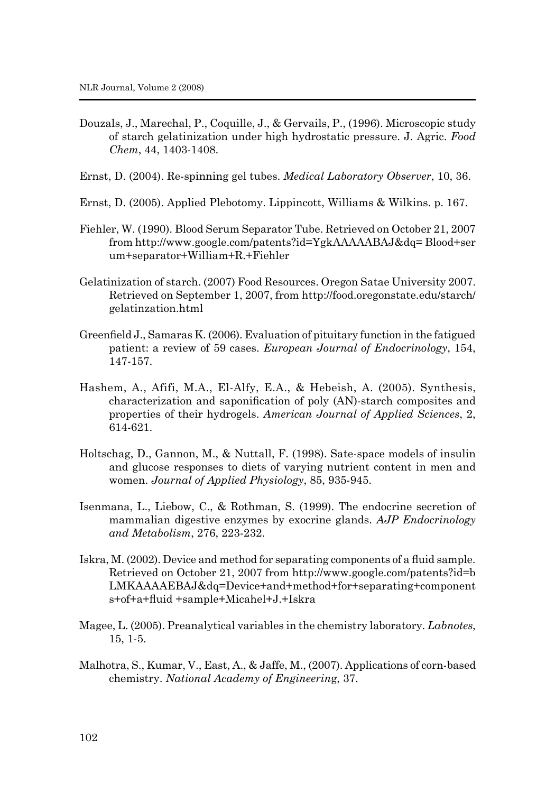- Douzals, J., Marechal, P., Coquille, J., & Gervails, P., (1996). Microscopic study of starch gelatinization under high hydrostatic pressure. J. Agric. *Food Chem*, 44, 1403-1408.
- Ernst, D. (2004). Re-spinning gel tubes. *Medical Laboratory Observer*, 10, 36.
- Ernst, D. (2005). Applied Plebotomy. Lippincott, Williams & Wilkins. p. 167.
- Fiehler, W. (1990). Blood Serum Separator Tube. Retrieved on October 21, 2007 from http://www.google.com/patents?id=YgkAAAAABAJ&dq= Blood+ser um+separator+William+R.+Fiehler
- Gelatinization of starch. (2007) Food Resources. Oregon Satae University 2007. Retrieved on September 1, 2007, from http://food.oregonstate.edu/starch/ gelatinzation.html
- Greenfield J., Samaras K. (2006). Evaluation of pituitary function in the fatigued patient: a review of 59 cases. *European Journal of Endocrinology*, 154, 147-157.
- Hashem, A., Afifi, M.A., El-Alfy, E.A., & Hebeish, A. (2005). Synthesis, characterization and saponification of poly (AN)-starch composites and properties of their hydrogels. *American Journal of Applied Sciences*, 2, 614-621.
- Holtschag, D., Gannon, M., & Nuttall, F. (1998). Sate-space models of insulin and glucose responses to diets of varying nutrient content in men and women. *Journal of Applied Physiology*, 85, 935-945.
- Isenmana, L., Liebow, C., & Rothman, S. (1999). The endocrine secretion of mammalian digestive enzymes by exocrine glands. *AJP Endocrinology and Metabolism*, 276, 223-232.
- Iskra, M. (2002). Device and method for separating components of a fluid sample. Retrieved on October 21, 2007 from http://www.google.com/patents?id=b LMKAAAAEBAJ&dq=Device+and+method+for+separating+component s+of+a+fluid +sample+Micahel+J.+Iskra
- Magee, L. (2005). Preanalytical variables in the chemistry laboratory. *Labnotes*, 15, 1-5.
- Malhotra, S., Kumar, V., East, A., & Jaffe, M., (2007). Applications of corn-based chemistry. *National Academy of Engineerin*g, 37.